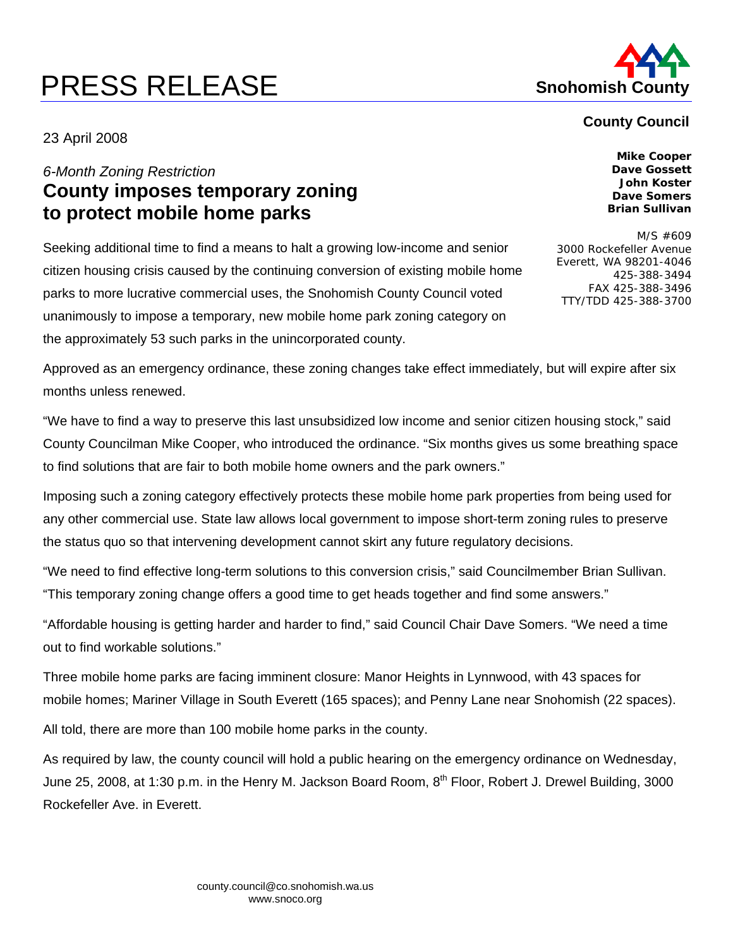# **PRESS RELEASE Shohomish County**



### **County Council**

23 April 2008

# *6-Month Zoning Restriction*  **County imposes temporary zoning to protect mobile home parks**

Seeking additional time to find a means to halt a growing low-income and senior citizen housing crisis caused by the continuing conversion of existing mobile home parks to more lucrative commercial uses, the Snohomish County Council voted unanimously to impose a temporary, new mobile home park zoning category on the approximately 53 such parks in the unincorporated county.

**Mike Cooper Dave Gossett John Koster Dave Somers Brian Sullivan** 

M/S #609 3000 Rockefeller Avenue Everett, WA 98201-4046 425-388-3494 FAX 425-388-3496 TTY/TDD 425-388-3700

Approved as an emergency ordinance, these zoning changes take effect immediately, but will expire after six months unless renewed.

"We have to find a way to preserve this last unsubsidized low income and senior citizen housing stock," said County Councilman Mike Cooper, who introduced the ordinance. "Six months gives us some breathing space to find solutions that are fair to both mobile home owners and the park owners."

Imposing such a zoning category effectively protects these mobile home park properties from being used for any other commercial use. State law allows local government to impose short-term zoning rules to preserve the status quo so that intervening development cannot skirt any future regulatory decisions.

"We need to find effective long-term solutions to this conversion crisis," said Councilmember Brian Sullivan. "This temporary zoning change offers a good time to get heads together and find some answers."

"Affordable housing is getting harder and harder to find," said Council Chair Dave Somers. "We need a time out to find workable solutions."

Three mobile home parks are facing imminent closure: Manor Heights in Lynnwood, with 43 spaces for mobile homes; Mariner Village in South Everett (165 spaces); and Penny Lane near Snohomish (22 spaces).

All told, there are more than 100 mobile home parks in the county.

As required by law, the county council will hold a public hearing on the emergency ordinance on Wednesday, June 25, 2008, at 1:30 p.m. in the Henry M. Jackson Board Room, 8<sup>th</sup> Floor, Robert J. Drewel Building, 3000 Rockefeller Ave. in Everett.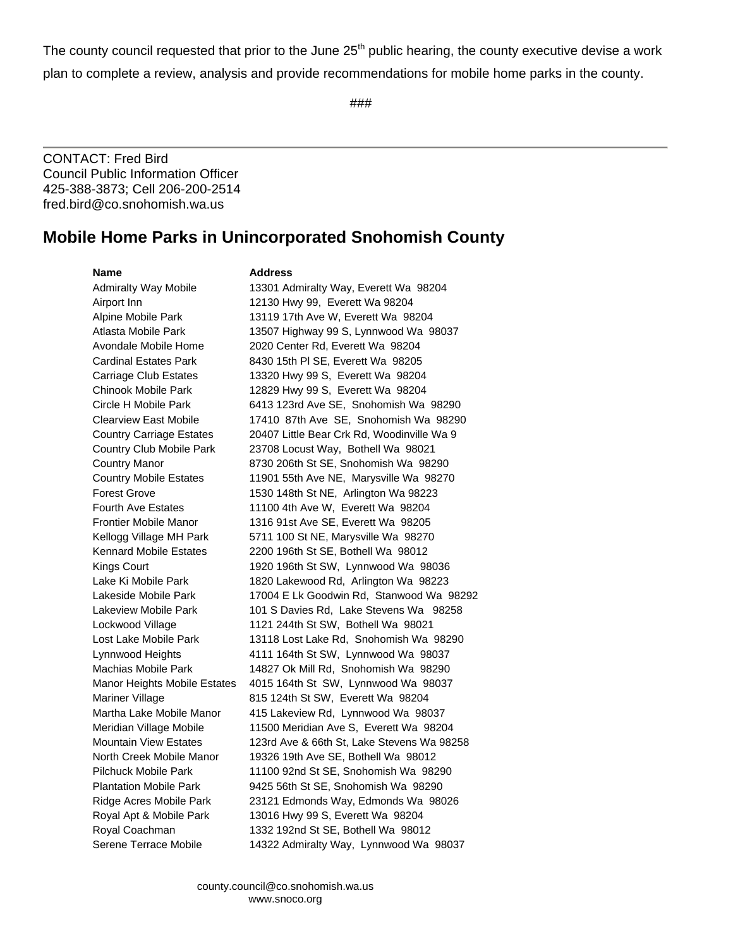The county council requested that prior to the June 25<sup>th</sup> public hearing, the county executive devise a work plan to complete a review, analysis and provide recommendations for mobile home parks in the county.

###

CONTACT: Fred Bird Council Public Information Officer 425-388-3873; Cell 206-200-2514 fred.bird@co.snohomish.wa.us

## **Mobile Home Parks in Unincorporated Snohomish County**

#### **Name** Address

Admiralty Way Mobile 13301 Admiralty Way, Everett Wa 98204 Airport Inn 12130 Hwy 99, Everett Wa 98204 Alpine Mobile Park 13119 17th Ave W, Everett Wa 98204 Atlasta Mobile Park 13507 Highway 99 S, Lynnwood Wa 98037 Avondale Mobile Home 2020 Center Rd, Everett Wa 98204 Cardinal Estates Park 8430 15th Pl SE, Everett Wa 98205 Carriage Club Estates 13320 Hwy 99 S, Everett Wa 98204 Chinook Mobile Park 12829 Hwy 99 S, Everett Wa 98204 Circle H Mobile Park 6413 123rd Ave SE, Snohomish Wa 98290 Country Carriage Estates 20407 Little Bear Crk Rd, Woodinville Wa 9 Country Club Mobile Park 23708 Locust Way, Bothell Wa 98021 Country Manor 8730 206th St SE, Snohomish Wa 98290 Country Mobile Estates 11901 55th Ave NE, Marysville Wa 98270 Forest Grove 1530 148th St NE, Arlington Wa 98223 Fourth Ave Estates 11100 4th Ave W, Everett Wa 98204 Frontier Mobile Manor 1316 91st Ave SE, Everett Wa 98205 Kellogg Village MH Park 5711 100 St NE, Marysville Wa 98270 Kennard Mobile Estates 2200 196th St SE, Bothell Wa 98012 Kings Court 1920 196th St SW, Lynnwood Wa 98036 Lake Ki Mobile Park 1820 Lakewood Rd, Arlington Wa 98223 Lockwood Village 1121 244th St SW, Bothell Wa 98021 Lynnwood Heights 4111 164th St SW, Lynnwood Wa 98037 Machias Mobile Park 14827 Ok Mill Rd, Snohomish Wa 98290 Manor Heights Mobile Estates 4015 164th St SW, Lynnwood Wa 98037 Mariner Village **815 124th St SW, Everett Wa 98204** Martha Lake Mobile Manor 415 Lakeview Rd, Lynnwood Wa 98037 Meridian Village Mobile 11500 Meridian Ave S, Everett Wa 98204 North Creek Mobile Manor 19326 19th Ave SE, Bothell Wa 98012 Pilchuck Mobile Park 11100 92nd St SE, Snohomish Wa 98290 Plantation Mobile Park 9425 56th St SE, Snohomish Wa 98290 Ridge Acres Mobile Park 23121 Edmonds Way, Edmonds Wa 98026 Royal Apt & Mobile Park 13016 Hwy 99 S, Everett Wa 98204 Royal Coachman 1332 192nd St SE, Bothell Wa 98012

Clearview East Mobile 17410 87th Ave SE, Snohomish Wa 98290 Lakeside Mobile Park 17004 E Lk Goodwin Rd, Stanwood Wa 98292 Lakeview Mobile Park 101 S Davies Rd, Lake Stevens Wa 98258 Lost Lake Mobile Park 13118 Lost Lake Rd, Snohomish Wa 98290 Mountain View Estates 123rd Ave & 66th St, Lake Stevens Wa 98258 Serene Terrace Mobile 14322 Admiralty Way, Lynnwood Wa 98037